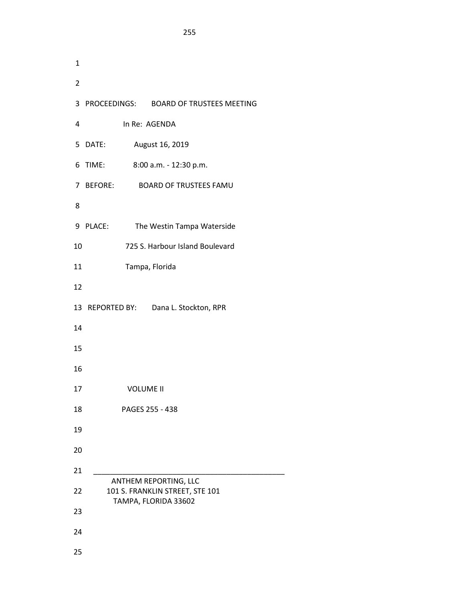| $\mathbf{1}$   |                                                         |
|----------------|---------------------------------------------------------|
| $\overline{2}$ |                                                         |
| 3              | PROCEEDINGS: BOARD OF TRUSTEES MEETING                  |
| 4              | In Re: AGENDA                                           |
|                | 5 DATE:<br>August 16, 2019                              |
|                | 6 TIME:<br>8:00 a.m. - 12:30 p.m.                       |
|                | 7 BEFORE:<br><b>BOARD OF TRUSTEES FAMU</b>              |
| 8              |                                                         |
|                | 9 PLACE:<br>The Westin Tampa Waterside                  |
| 10             | 725 S. Harbour Island Boulevard                         |
| 11             | Tampa, Florida                                          |
| 12             |                                                         |
|                | 13 REPORTED BY: Dana L. Stockton, RPR                   |
| 14             |                                                         |
| 15             |                                                         |
| 16             |                                                         |
| 17             | <b>VOLUME II</b>                                        |
| 18             | PAGES 255 - 438                                         |
| 19             |                                                         |
| 20             |                                                         |
| 21             | ANTHEM REPORTING, LLC                                   |
| 22             | 101 S. FRANKLIN STREET, STE 101<br>TAMPA, FLORIDA 33602 |
| 23             |                                                         |
| 24             |                                                         |
|                |                                                         |

25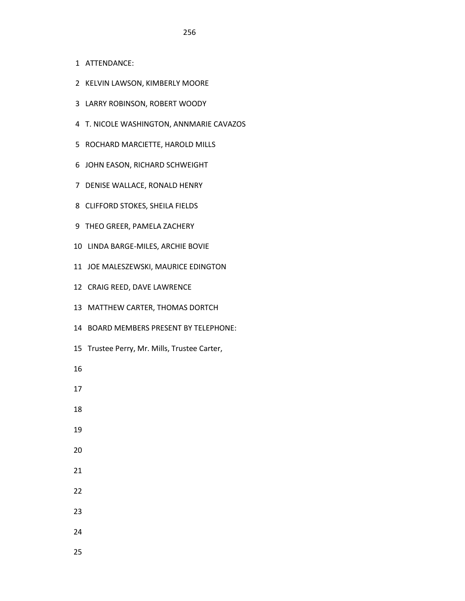- 1 ATTENDANCE:
- 2 KELVIN LAWSON, KIMBERLY MOORE
- 3 LARRY ROBINSON, ROBERT WOODY
- 4 T. NICOLE WASHINGTON, ANNMARIE CAVAZOS
- 5 ROCHARD MARCIETTE, HAROLD MILLS
- 6 JOHN EASON, RICHARD SCHWEIGHT
- 7 DENISE WALLACE, RONALD HENRY
- 8 CLIFFORD STOKES, SHEILA FIELDS
- 9 THEO GREER, PAMELA ZACHERY
- 10 LINDA BARGE-MILES, ARCHIE BOVIE
- 11 JOE MALESZEWSKI, MAURICE EDINGTON
- 12 CRAIG REED, DAVE LAWRENCE
- 13 MATTHEW CARTER, THOMAS DORTCH
- 14 BOARD MEMBERS PRESENT BY TELEPHONE:
- 15 Trustee Perry, Mr. Mills, Trustee Carter,
- 16
- 17
- 18
- 19
- 20
- 
- 21
- 22
- 23
- 24
- 25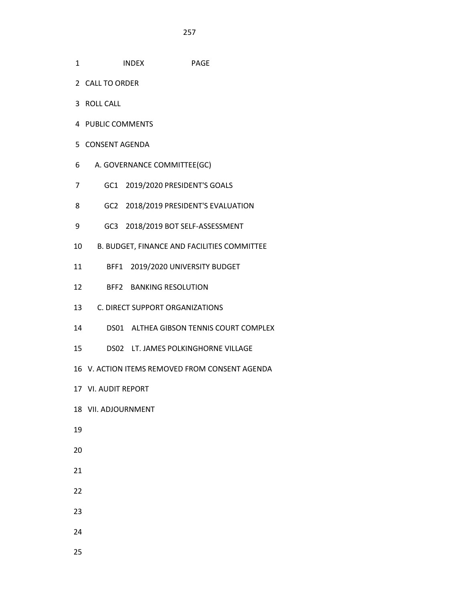- 1 INDEX PAGE
- 2 CALL TO ORDER
- 3 ROLL CALL
- 4 PUBLIC COMMENTS
- 5 CONSENT AGENDA
- 6 A. GOVERNANCE COMMITTEE(GC)
- 7 GC1 2019/2020 PRESIDENT'S GOALS
- 8 GC2 2018/2019 PRESIDENT'S EVALUATION
- 9 GC3 2018/2019 BOT SELF-ASSESSMENT
- 10 B. BUDGET, FINANCE AND FACILITIES COMMITTEE
- 11 BFF1 2019/2020 UNIVERSITY BUDGET
- 12 BFF2 BANKING RESOLUTION
- 13 C. DIRECT SUPPORT ORGANIZATIONS
- 14 DS01 ALTHEA GIBSON TENNIS COURT COMPLEX
- 15 DS02 LT. JAMES POLKINGHORNE VILLAGE
- 16 V. ACTION ITEMS REMOVED FROM CONSENT AGENDA
- 17 VI. AUDIT REPORT
- 18 VII. ADJOURNMENT
- 19
- 20
- 21
- 22
- 23
- 24
- 25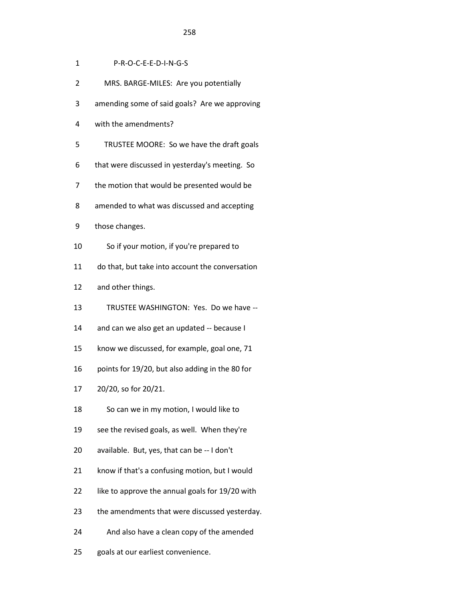- 1 P-R-O-C-E-E-D-I-N-G-S
- 2 MRS. BARGE-MILES: Are you potentially
- 3 amending some of said goals? Are we approving
- 4 with the amendments?
- 5 TRUSTEE MOORE: So we have the draft goals
- 6 that were discussed in yesterday's meeting. So
- 7 the motion that would be presented would be
- 8 amended to what was discussed and accepting
- 9 those changes.
- 10 So if your motion, if you're prepared to
- 11 do that, but take into account the conversation
- 12 and other things.
- 13 TRUSTEE WASHINGTON: Yes. Do we have --
- 14 and can we also get an updated -- because I
- 15 know we discussed, for example, goal one, 71
- 16 points for 19/20, but also adding in the 80 for
- 17 20/20, so for 20/21.
- 18 So can we in my motion, I would like to
- 19 see the revised goals, as well. When they're
- 20 available. But, yes, that can be -- I don't
- 21 know if that's a confusing motion, but I would
- 22 like to approve the annual goals for 19/20 with
- 23 the amendments that were discussed yesterday.
- 24 And also have a clean copy of the amended
- 25 goals at our earliest convenience.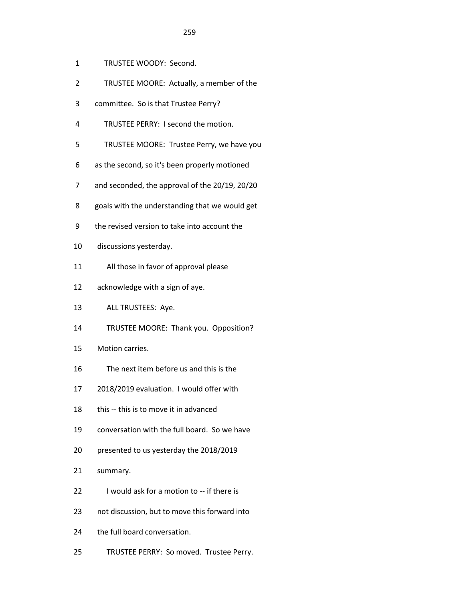- 1 TRUSTEE WOODY: Second.
- 2 TRUSTEE MOORE: Actually, a member of the
- 3 committee. So is that Trustee Perry?
- 4 TRUSTEE PERRY: I second the motion.
- 5 TRUSTEE MOORE: Trustee Perry, we have you
- 6 as the second, so it's been properly motioned
- 7 and seconded, the approval of the 20/19, 20/20
- 8 goals with the understanding that we would get
- 9 the revised version to take into account the
- 10 discussions yesterday.
- 11 All those in favor of approval please
- 12 acknowledge with a sign of aye.
- 13 ALL TRUSTEES: Aye.
- 14 TRUSTEE MOORE: Thank you. Opposition?
- 15 Motion carries.
- 16 The next item before us and this is the
- 17 2018/2019 evaluation. I would offer with
- 18 this -- this is to move it in advanced
- 19 conversation with the full board. So we have
- 20 presented to us yesterday the 2018/2019
- 21 summary.
- 22 I would ask for a motion to -- if there is
- 23 not discussion, but to move this forward into
- 24 the full board conversation.
- 25 TRUSTEE PERRY: So moved. Trustee Perry.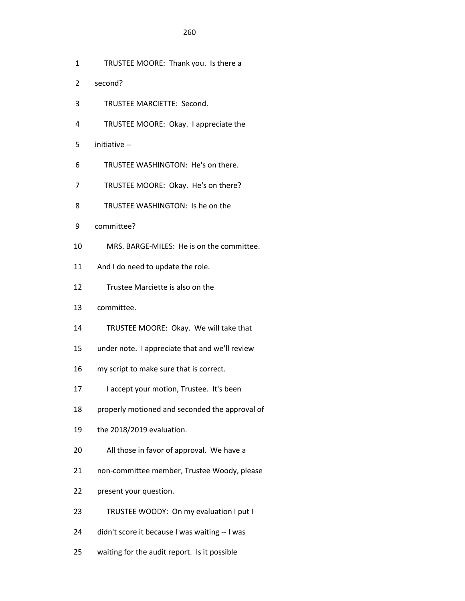- 1 TRUSTEE MOORE: Thank you. Is there a
- 2 second?
- 3 TRUSTEE MARCIETTE: Second.
- 4 TRUSTEE MOORE: Okay. I appreciate the
- 5 initiative --
- 6 TRUSTEE WASHINGTON: He's on there.
- 7 TRUSTEE MOORE: Okay. He's on there?
- 8 TRUSTEE WASHINGTON: Is he on the
- 9 committee?
- 10 MRS. BARGE-MILES: He is on the committee.
- 11 And I do need to update the role.
- 12 Trustee Marciette is also on the
- 13 committee.
- 14 TRUSTEE MOORE: Okay. We will take that
- 15 under note. I appreciate that and we'll review
- 16 my script to make sure that is correct.
- 17 I accept your motion, Trustee. It's been
- 18 properly motioned and seconded the approval of
- 19 the 2018/2019 evaluation.
- 20 All those in favor of approval. We have a
- 21 non-committee member, Trustee Woody, please
- 22 present your question.
- 23 TRUSTEE WOODY: On my evaluation I put I
- 24 didn't score it because I was waiting -- I was
- 25 waiting for the audit report. Is it possible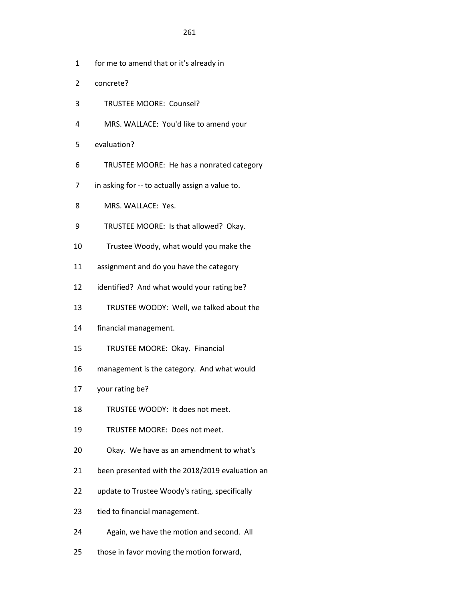- 1 for me to amend that or it's already in
- 2 concrete?
- 3 TRUSTEE MOORE: Counsel?
- 4 MRS. WALLACE: You'd like to amend your
- 5 evaluation?
- 6 TRUSTEE MOORE: He has a nonrated category
- 7 in asking for -- to actually assign a value to.
- 8 MRS. WALLACE: Yes.
- 9 TRUSTEE MOORE: Is that allowed? Okay.
- 10 Trustee Woody, what would you make the
- 11 assignment and do you have the category
- 12 identified? And what would your rating be?
- 13 TRUSTEE WOODY: Well, we talked about the
- 14 financial management.
- 15 TRUSTEE MOORE: Okay. Financial
- 16 management is the category. And what would
- 17 your rating be?
- 18 TRUSTEE WOODY: It does not meet.
- 19 TRUSTEE MOORE: Does not meet.
- 20 Okay. We have as an amendment to what's
- 21 been presented with the 2018/2019 evaluation an
- 22 update to Trustee Woody's rating, specifically
- 23 tied to financial management.
- 24 Again, we have the motion and second. All
- 25 those in favor moving the motion forward,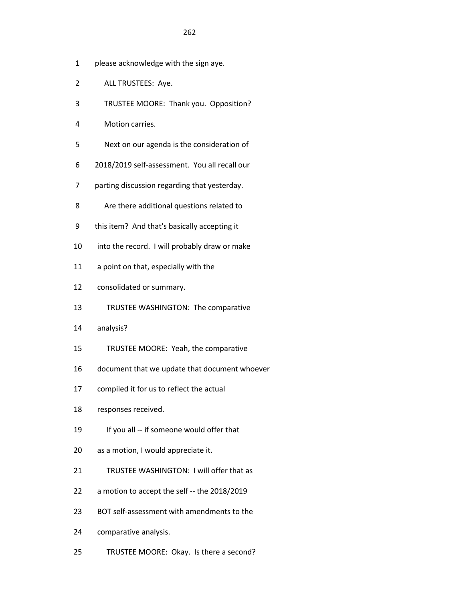- 2 ALL TRUSTEES: Aye.
- 3 TRUSTEE MOORE: Thank you. Opposition?
- 4 Motion carries.
- 5 Next on our agenda is the consideration of
- 6 2018/2019 self-assessment. You all recall our
- 7 parting discussion regarding that yesterday.
- 8 Are there additional questions related to
- 9 this item? And that's basically accepting it
- 10 into the record. I will probably draw or make
- 11 a point on that, especially with the
- 12 consolidated or summary.
- 13 TRUSTEE WASHINGTON: The comparative
- 14 analysis?
- 15 TRUSTEE MOORE: Yeah, the comparative
- 16 document that we update that document whoever
- 17 compiled it for us to reflect the actual
- 18 responses received.
- 19 If you all -- if someone would offer that
- 20 as a motion, I would appreciate it.
- 21 TRUSTEE WASHINGTON: I will offer that as
- 22 a motion to accept the self -- the 2018/2019
- 23 BOT self-assessment with amendments to the
- 24 comparative analysis.
- 25 TRUSTEE MOORE: Okay. Is there a second?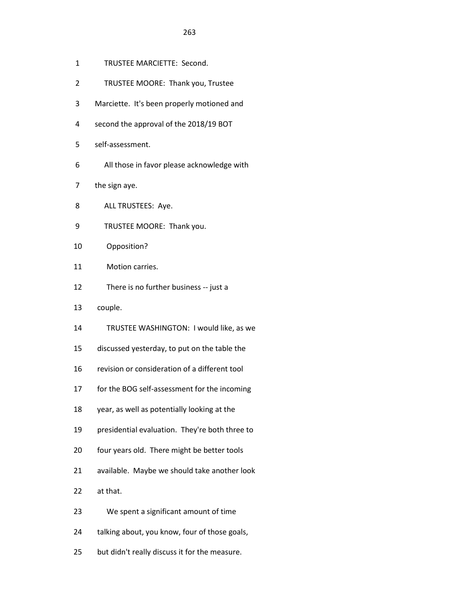- 2 TRUSTEE MOORE: Thank you, Trustee
- 3 Marciette. It's been properly motioned and
- 4 second the approval of the 2018/19 BOT
- 5 self-assessment.
- 6 All those in favor please acknowledge with
- 7 the sign aye.
- 8 ALL TRUSTEES: Aye.
- 9 TRUSTEE MOORE: Thank you.
- 10 Opposition?
- 11 Motion carries.
- 12 There is no further business -- just a
- 13 couple.
- 14 TRUSTEE WASHINGTON: I would like, as we
- 15 discussed yesterday, to put on the table the
- 16 revision or consideration of a different tool
- 17 for the BOG self-assessment for the incoming
- 18 year, as well as potentially looking at the
- 19 presidential evaluation. They're both three to
- 20 four years old. There might be better tools
- 21 available. Maybe we should take another look
- 22 at that.
- 23 We spent a significant amount of time
- 24 talking about, you know, four of those goals,
- 25 but didn't really discuss it for the measure.